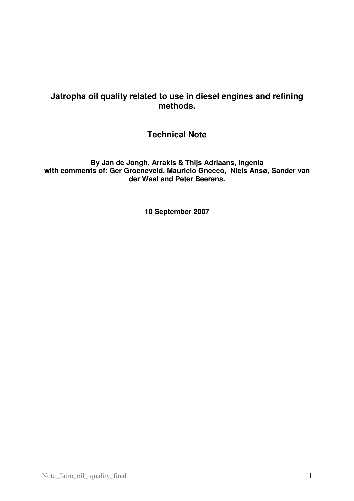# **Jatropha oil quality related to use in diesel engines and refining methods.**

# **Technical Note**

**By Jan de Jongh, Arrakis & Thijs Adriaans, Ingenia with comments of: Ger Groeneveld, Mauricio Gnecco, Niels Ansø, Sander van der Waal and Peter Beerens.** 

**10 September 2007**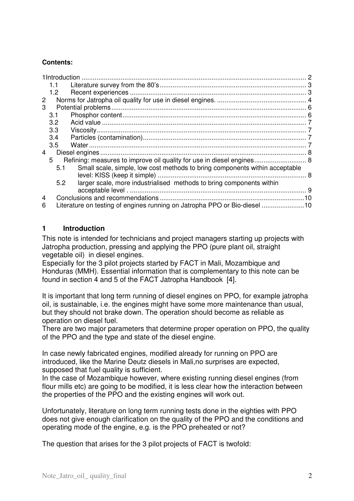#### **Contents:**

|   | 1.1              |                                                                             |  |  |  |  |  |
|---|------------------|-----------------------------------------------------------------------------|--|--|--|--|--|
|   | 1.2              |                                                                             |  |  |  |  |  |
| 2 |                  |                                                                             |  |  |  |  |  |
| 3 |                  |                                                                             |  |  |  |  |  |
|   | 3.1              |                                                                             |  |  |  |  |  |
|   | 3.2              |                                                                             |  |  |  |  |  |
|   | 3.3 <sub>2</sub> |                                                                             |  |  |  |  |  |
|   | 3.4              |                                                                             |  |  |  |  |  |
|   | 3.5              |                                                                             |  |  |  |  |  |
| 4 |                  |                                                                             |  |  |  |  |  |
|   | 5.               | Refining: measures to improve oil quality for use in diesel engines 8       |  |  |  |  |  |
|   | 5.1              | Small scale, simple, low cost methods to bring components within acceptable |  |  |  |  |  |
|   |                  |                                                                             |  |  |  |  |  |
|   | 5.2              | larger scale, more industrialised methods to bring components within        |  |  |  |  |  |
|   |                  |                                                                             |  |  |  |  |  |
| 4 |                  |                                                                             |  |  |  |  |  |
| 6 |                  | Literature on testing of engines running on Jatropha PPO or Bio-diesel 10   |  |  |  |  |  |

### **1 Introduction**

This note is intended for technicians and project managers starting up projects with Jatropha production, pressing and applying the PPO (pure plant oil, straight vegetable oil) in diesel engines.

Especially for the 3 pilot projects started by FACT in Mali, Mozambique and Honduras (MMH). Essential information that is complementary to this note can be found in section 4 and 5 of the FACT Jatropha Handbook [4].

It is important that long term running of diesel engines on PPO, for example jatropha oil, is sustainable, i.e. the engines might have some more maintenance than usual, but they should not brake down. The operation should become as reliable as operation on diesel fuel.

There are two major parameters that determine proper operation on PPO, the quality of the PPO and the type and state of the diesel engine.

In case newly fabricated engines, modified already for running on PPO are introduced, like the Marine Deutz diesels in Mali,no surprises are expected, supposed that fuel quality is sufficient.

In the case of Mozambique however, where existing running diesel engines (from flour mills etc) are going to be modified, it is less clear how the interaction between the properties of the PPO and the existing engines will work out.

Unfortunately, literature on long term running tests done in the eighties with PPO does not give enough clarification on the quality of the PPO and the conditions and operating mode of the engine, e.g. is the PPO preheated or not?

The question that arises for the 3 pilot projects of FACT is twofold: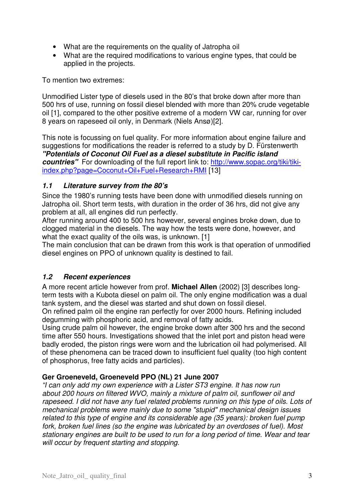- What are the requirements on the quality of Jatropha oil
- What are the required modifications to various engine types, that could be applied in the projects.

To mention two extremes:

Unmodified Lister type of diesels used in the 80's that broke down after more than 500 hrs of use, running on fossil diesel blended with more than 20% crude vegetable oil [1], compared to the other positive extreme of a modern VW car, running for over 8 years on rapeseed oil only, in Denmark (Niels Ansø)[2].

This note is focussing on fuel quality. For more information about engine failure and suggestions for modifications the reader is referred to a study by D. Fürstenwerth **"Potentials of Coconut Oil Fuel as a diesel substitute in Pacific island**  *countries* For downloading of the full report link to: http://www.sopac.org/tiki/tikiindex.php?page=Coconut+Oil+Fuel+Research+RMI [13]

### **1.1 Literature survey from the 80's**

Since the 1980's running tests have been done with unmodified diesels running on Jatropha oil. Short term tests, with duration in the order of 36 hrs, did not give any problem at all, all engines did run perfectly.

After running around 400 to 500 hrs however, several engines broke down, due to clogged material in the diesels. The way how the tests were done, however, and what the exact quality of the oils was, is unknown. [1]

The main conclusion that can be drawn from this work is that operation of unmodified diesel engines on PPO of unknown quality is destined to fail.

## **1.2 Recent experiences**

A more recent article however from prof. **Michael Allen** (2002) [3] describes longterm tests with a Kubota diesel on palm oil. The only engine modification was a dual tank system, and the diesel was started and shut down on fossil diesel.

On refined palm oil the engine ran perfectly for over 2000 hours. Refining included degumming with phosphoric acid, and removal of fatty acids.

Using crude palm oil however, the engine broke down after 300 hrs and the second time after 550 hours. Investigations showed that the inlet port and piston head were badly eroded, the piston rings were worn and the lubrication oil had polymerised. All of these phenomena can be traced down to insufficient fuel quality (too high content of phosphorus, free fatty acids and particles).

## **Ger Groeneveld, Groeneveld PPO (NL) 21 June 2007**

"I can only add my own experience with a Lister ST3 engine. It has now run about 200 hours on filtered WVO, mainly a mixture of palm oil, sunflower oil and rapeseed. I did not have any fuel related problems running on this type of oils. Lots of mechanical problems were mainly due to some "stupid" mechanical design issues related to this type of engine and its considerable age (35 years): broken fuel pump fork, broken fuel lines (so the engine was lubricated by an overdoses of fuel). Most stationary engines are built to be used to run for a long period of time. Wear and tear will occur by frequent starting and stopping.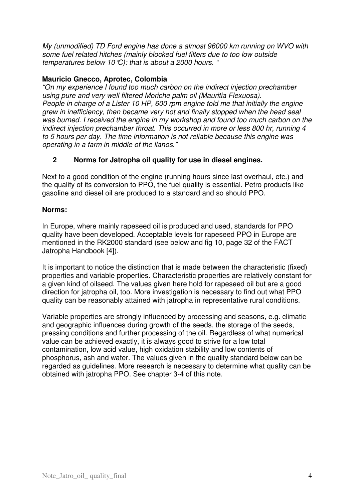My (unmodified) TD Ford engine has done a almost 96000 km running on WVO with some fuel related hitches (mainly blocked fuel filters due to too low outside temperatures below 10 °C): that is about a 2000 hours. "

#### **Mauricio Gnecco, Aprotec, Colombia**

"On my experience I found too much carbon on the indirect injection prechamber using pure and very well filtered Moriche palm oil (Mauritia Flexuosa). People in charge of a Lister 10 HP, 600 rpm engine told me that initially the engine grew in inefficiency, then became very hot and finally stopped when the head seal was burned. I received the engine in my workshop and found too much carbon on the indirect injection prechamber throat. This occurred in more or less 800 hr, running 4 to 5 hours per day. The time information is not reliable because this engine was operating in a farm in middle of the llanos."

### **2 Norms for Jatropha oil quality for use in diesel engines.**

Next to a good condition of the engine (running hours since last overhaul, etc.) and the quality of its conversion to PPO, the fuel quality is essential. Petro products like gasoline and diesel oil are produced to a standard and so should PPO.

#### **Norms:**

In Europe, where mainly rapeseed oil is produced and used, standards for PPO quality have been developed. Acceptable levels for rapeseed PPO in Europe are mentioned in the RK2000 standard (see below and fig 10, page 32 of the FACT Jatropha Handbook [4]).

It is important to notice the distinction that is made between the characteristic (fixed) properties and variable properties. Characteristic properties are relatively constant for a given kind of oilseed. The values given here hold for rapeseed oil but are a good direction for jatropha oil, too. More investigation is necessary to find out what PPO quality can be reasonably attained with jatropha in representative rural conditions.

Variable properties are strongly influenced by processing and seasons, e.g. climatic and geographic influences during growth of the seeds, the storage of the seeds, pressing conditions and further processing of the oil. Regardless of what numerical value can be achieved exactly, it is always good to strive for a low total contamination, low acid value, high oxidation stability and low contents of phosphorus, ash and water. The values given in the quality standard below can be regarded as guidelines. More research is necessary to determine what quality can be obtained with jatropha PPO. See chapter 3-4 of this note.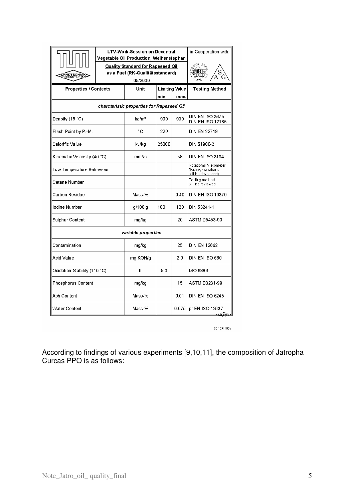|                                                                                                                   | <b>LTV-Work-Session on Decentral</b><br><b>Vegetable Oil Production, Weihenstephan</b> |                                           |                       |                                                                    | in Cooperation with:                       |
|-------------------------------------------------------------------------------------------------------------------|----------------------------------------------------------------------------------------|-------------------------------------------|-----------------------|--------------------------------------------------------------------|--------------------------------------------|
| <b>Quality Standard for Rapeseed Oil</b><br>as a Fuel (RK-Qualitätsstandard)<br><b>MANDTECHNIK&gt;</b><br>05/2000 |                                                                                        |                                           |                       |                                                                    | `йнів                                      |
| <b>Properties / Contents</b>                                                                                      |                                                                                        | Unit                                      | <b>Limiting Value</b> |                                                                    | Testing Method                             |
|                                                                                                                   |                                                                                        |                                           | min.                  | max.                                                               |                                            |
|                                                                                                                   |                                                                                        | charcteristic properties for Rapeseed Oil |                       |                                                                    |                                            |
| Density (15 °C)                                                                                                   |                                                                                        | kg/mª                                     | 900                   | 930                                                                | DIN EN ISO 3675<br><b>DIN EN ISO 12185</b> |
| Flash Point by P.-M.                                                                                              |                                                                                        | ۰c                                        | 220                   |                                                                    | DIN EN 22719                               |
| Calorific Value                                                                                                   |                                                                                        | kJ/kg                                     | 35000                 |                                                                    | DIN 51900-3                                |
| Kinematic Viscosity (40 °C)                                                                                       |                                                                                        | mm <sup>2</sup> /s                        |                       | 38                                                                 | <b>DIN EN ISO 3104</b>                     |
| Low Temperature Behaviour                                                                                         |                                                                                        |                                           |                       | Rotational Viscometer<br>(testing conditions<br>will be developed) |                                            |
| Cetane Number                                                                                                     |                                                                                        |                                           |                       | Testing method<br>will be reviewed                                 |                                            |
| <b>Carbon Residue</b>                                                                                             | Mass-%                                                                                 |                                           | 0.40                  | <b>DIN EN ISO 10370</b>                                            |                                            |
| Iodine Number                                                                                                     |                                                                                        | g/100 g                                   | 100                   | 120                                                                | DIN 53241-1                                |
| Sulphur Content                                                                                                   |                                                                                        | mg/kg                                     |                       | 20                                                                 | ASTM D5453-93                              |
|                                                                                                                   |                                                                                        | variable properties                       |                       |                                                                    |                                            |
| Contamination                                                                                                     |                                                                                        | mg/kg                                     |                       | 25                                                                 | DIN EN 12662                               |
| Acid Value                                                                                                        | mg KOH/g                                                                               |                                           | 2.0                   | DIN EN ISO 660                                                     |                                            |
| Oxidation Stability (110 °C)                                                                                      | h                                                                                      | 5.0                                       |                       | ISO 6886                                                           |                                            |
| <b>Phosphorus Content</b>                                                                                         | mg/kg                                                                                  |                                           | 15                    | ASTM D3231-99                                                      |                                            |
| Ash Content                                                                                                       |                                                                                        | Mass-%                                    |                       | 0.01                                                               | <b>DIN EN ISO 6245</b>                     |
| Water Content                                                                                                     |                                                                                        | Mass-%                                    |                       | 0.075                                                              | pr EN ISO 12937                            |

00 1ER 100e

According to findings of various experiments [9,10,11], the composition of Jatropha Curcas PPO is as follows: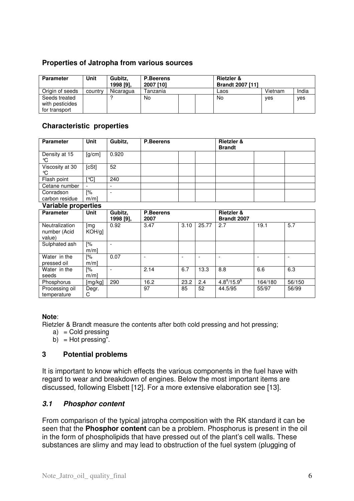#### **Properties of Jatropha from various sources**

| Parameter                                         | Unit    | Gubitz.<br>1998 [9], | <b>P.Beerens</b><br>2007 [10] |  | <b>Rietzler &amp;</b><br><b>Brandt 2007 [11]</b> |         |       |
|---------------------------------------------------|---------|----------------------|-------------------------------|--|--------------------------------------------------|---------|-------|
| Origin of seeds                                   | country | Nicaragua            | Tanzania                      |  | Laos                                             | Vietnam | India |
| Seeds treated<br>with pesticides<br>for transport |         |                      | No                            |  | No                                               | ves     | ves   |

### **Characteristic properties**

| <b>Parameter</b>            | <b>Unit</b> | Gubitz, | <b>P.Beerens</b> |  | <b>Rietzler &amp;</b><br><b>Brandt</b> |  |
|-----------------------------|-------------|---------|------------------|--|----------------------------------------|--|
| Density at 15<br>°C         | [g/cm]      | 0.920   |                  |  |                                        |  |
| Viscosity at 30<br>°C       | [cSt]       | 52      |                  |  |                                        |  |
| Flash point                 | °Cl         | 240     |                  |  |                                        |  |
| Cetane number               |             |         |                  |  |                                        |  |
| Conradson<br>carbon residue | [%<br>m/ml  | ۰       |                  |  |                                        |  |

#### **Variable properties**

| <b>Parameter</b>                                | <b>Unit</b>      | Gubitz,<br>1998 [9], | <b>P.Beerens</b><br>2007 |      |       | <b>Rietzler &amp;</b><br><b>Brandt 2007</b> |         |        |
|-------------------------------------------------|------------------|----------------------|--------------------------|------|-------|---------------------------------------------|---------|--------|
| <b>Neutralization</b><br>number (Acid<br>value) | [mg<br>$KOH/g$ ] | 0.92                 | 3.47                     | 3.10 | 25.77 | 2.7                                         | 19.1    | 5.7    |
| Sulphated ash                                   | [%<br>m/ml       |                      |                          |      |       |                                             |         |        |
| Water in the<br>pressed oil                     | [%<br>$m/m$ ]    | 0.07                 | ۰                        |      |       |                                             |         |        |
| Water in the<br>seeds                           | [%<br>m/ml       |                      | 2.14                     | 6.7  | 13.3  | 8.8                                         | 6.6     | 6.3    |
| Phosphorus                                      | [mg/kg]          | 290                  | 16.2                     | 23.2 | 2.4   | $4.8^{\frac{a}{7}}/15.9^{\circ}$            | 164/180 | 56/150 |
| Processing oil<br>temperature                   | Degr.<br>С       |                      | 97                       | 85   | 52    | 44.5/95                                     | 55/97   | 56/99  |

#### **Note**:

Rietzler & Brandt measure the contents after both cold pressing and hot pressing;

- $a) =$  Cold pressing
- b) =  $Hot$  pressing".

#### **3 Potential problems**

It is important to know which effects the various components in the fuel have with regard to wear and breakdown of engines. Below the most important items are discussed, following Elsbett [12]. For a more extensive elaboration see [13].

#### **3.1 Phosphor content**

From comparison of the typical jatropha composition with the RK standard it can be seen that the **Phosphor content** can be a problem. Phosphorus is present in the oil in the form of phospholipids that have pressed out of the plant's cell walls. These substances are slimy and may lead to obstruction of the fuel system (plugging of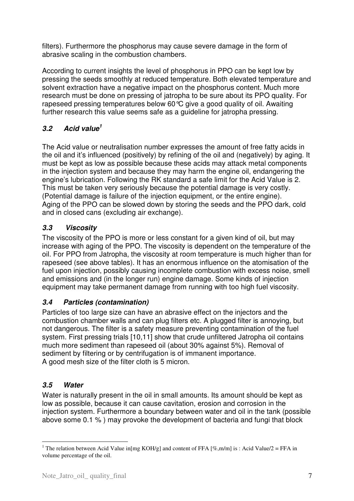filters). Furthermore the phosphorus may cause severe damage in the form of abrasive scaling in the combustion chambers.

According to current insights the level of phosphorus in PPO can be kept low by pressing the seeds smoothly at reduced temperature. Both elevated temperature and solvent extraction have a negative impact on the phosphorus content. Much more research must be done on pressing of jatropha to be sure about its PPO quality. For rapeseed pressing temperatures below 60°C give a good quality of oil. Awaiting further research this value seems safe as a guideline for jatropha pressing.

# **3.2 Acid value<sup>1</sup>**

The Acid value or neutralisation number expresses the amount of free fatty acids in the oil and it's influenced (positively) by refining of the oil and (negatively) by aging. It must be kept as low as possible because these acids may attack metal components in the injection system and because they may harm the engine oil, endangering the engine's lubrication. Following the RK standard a safe limit for the Acid Value is 2. This must be taken very seriously because the potential damage is very costly. (Potential damage is failure of the injection equipment, or the entire engine). Aging of the PPO can be slowed down by storing the seeds and the PPO dark, cold and in closed cans (excluding air exchange).

## **3.3 Viscosity**

The viscosity of the PPO is more or less constant for a given kind of oil, but may increase with aging of the PPO. The viscosity is dependent on the temperature of the oil. For PPO from Jatropha, the viscosity at room temperature is much higher than for rapeseed (see above tables). It has an enormous influence on the atomisation of the fuel upon injection, possibly causing incomplete combustion with excess noise, smell and emissions and (in the longer run) engine damage. Some kinds of injection equipment may take permanent damage from running with too high fuel viscosity.

## **3.4 Particles (contamination)**

Particles of too large size can have an abrasive effect on the injectors and the combustion chamber walls and can plug filters etc. A plugged filter is annoying, but not dangerous. The filter is a safety measure preventing contamination of the fuel system. First pressing trials [10,11] show that crude unfiltered Jatropha oil contains much more sediment than rapeseed oil (about 30% against 5%). Removal of sediment by filtering or by centrifugation is of immanent importance. A good mesh size of the filter cloth is 5 micron.

# **3.5 Water**

Water is naturally present in the oil in small amounts. Its amount should be kept as low as possible, because it can cause cavitation, erosion and corrosion in the injection system. Furthermore a boundary between water and oil in the tank (possible above some 0.1 % ) may provoke the development of bacteria and fungi that block

 $\overline{a}$ <sup>1</sup> The relation between Acid Value in[mg KOH/g] and content of FFA [%,m/m] is : Acid Value/2 = FFA in volume percentage of the oil.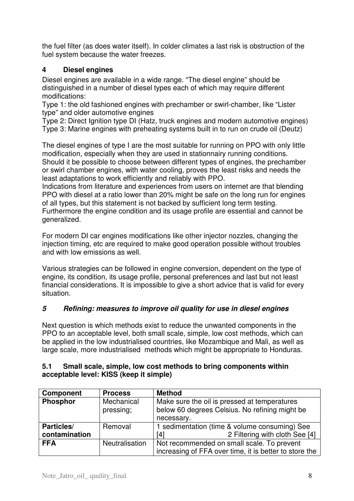the fuel filter (as does water itself). In colder climates a last risk is obstruction of the fuel system because the water freezes.

# **4 Diesel engines**

Diesel engines are available in a wide range. "The diesel engine" should be distinguished in a number of diesel types each of which may require different modifications:

Type 1: the old fashioned engines with prechamber or swirl-chamber, like "Lister type" and older automotive engines

Type 2: Direct Ignition type DI (Hatz, truck engines and modern automotive engines) Type 3: Marine engines with preheating systems built in to run on crude oil (Deutz)

The diesel engines of type I are the most suitable for running on PPO with only little modification, especially when they are used in stationnairy running conditions. Should it be possible to choose between different types of engines, the prechamber or swirl chamber engines, with water cooling, proves the least risks and needs the least adaptations to work efficiently and reliably with PPO.

Indications from literature and experiences from users on internet are that blending PPO with diesel at a ratio lower than 20% might be safe on the long run for engines of all types, but this statement is not backed by sufficient long term testing.

Furthermore the engine condition and its usage profile are essential and cannot be generalized.

For modern DI car engines modifications like other injector nozzles, changing the injection timing, etc are required to make good operation possible without troubles and with low emissions as well.

Various strategies can be followed in engine conversion, dependent on the type of engine, its condition, its usage profile, personal preferences and last but not least financial considerations. It is impossible to give a short advice that is valid for every situation.

## **5 Refining: measures to improve oil quality for use in diesel engines**

Next question is which methods exist to reduce the unwanted components in the PPO to an acceptable level, both small scale, simple, low cost methods, which can be applied in the low industrialised countries, like Mozambique and Mali, as well as large scale, more industrialised methods which might be appropriate to Honduras.

#### **5.1 Small scale, simple, low cost methods to bring components within acceptable level: KISS (keep it simple)**

| <b>Component</b> | <b>Process</b>          | <b>Method</b>                                                                                  |
|------------------|-------------------------|------------------------------------------------------------------------------------------------|
| <b>Phosphor</b>  | Mechanical<br>pressing; | Make sure the oil is pressed at temperatures<br>below 60 degrees Celsius. No refining might be |
|                  |                         | necessary.                                                                                     |
| Particles/       | Removal                 | 1 sedimentation (time & volume consuming) See                                                  |
| contamination    |                         | 2 Filtering with cloth See [4]<br>[4]                                                          |
| <b>FFA</b>       | <b>Neutralisation</b>   | Not recommended on small scale. To prevent                                                     |
|                  |                         | increasing of FFA over time, it is better to store the                                         |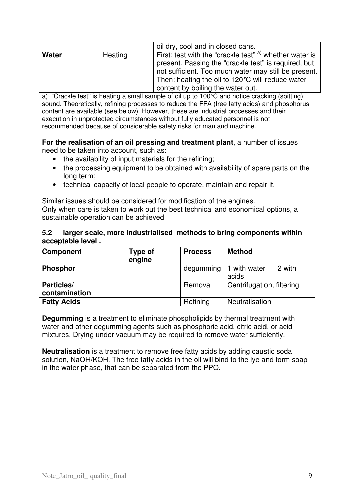|       |         | oil dry, cool and in closed cans.                       |
|-------|---------|---------------------------------------------------------|
| Water | Heating | First: test with the "crackle test" a) whether water is |
|       |         | present. Passing the "crackle test" is required, but    |
|       |         | not sufficient. Too much water may still be present.    |
|       |         | Then: heating the oil to 120 ℃ will reduce water        |
|       |         | content by boiling the water out.                       |

a) "Crackle test" is heating a small sample of oil up to 100°C and notice cracking (spitting) sound. Theoretically, refining processes to reduce the FFA (free fatty acids) and phosphorus content are available (see below). However, these are industrial processes and their execution in unprotected circumstances without fully educated personnel is not recommended because of considerable safety risks for man and machine.

#### **For the realisation of an oil pressing and treatment plant**, a number of issues need to be taken into account, such as:

- the availability of input materials for the refining;
- the processing equipment to be obtained with availability of spare parts on the long term;
- technical capacity of local people to operate, maintain and repair it.

Similar issues should be considered for modification of the engines. Only when care is taken to work out the best technical and economical options, a sustainable operation can be achieved

#### **5.2 larger scale, more industrialised methods to bring components within acceptable level .**

| <b>Component</b>            | Type of<br>engine | <b>Process</b> | <b>Method</b>                   |
|-----------------------------|-------------------|----------------|---------------------------------|
| <b>Phosphor</b>             |                   | degumming      | 2 with<br>1 with water<br>acids |
| Particles/<br>contamination |                   | Removal        | Centrifugation, filtering       |
| <b>Fatty Acids</b>          |                   | Refining       | <b>Neutralisation</b>           |

**Degumming** is a treatment to eliminate phospholipids by thermal treatment with water and other degumming agents such as phosphoric acid, citric acid, or acid mixtures. Drying under vacuum may be required to remove water sufficiently.

**Neutralisation** is a treatment to remove free fatty acids by adding caustic soda solution, NaOH/KOH. The free fatty acids in the oil will bind to the lye and form soap in the water phase, that can be separated from the PPO.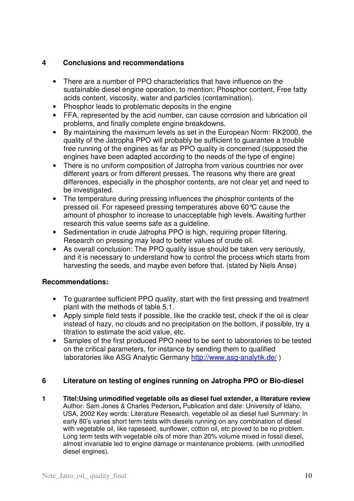## **4 Conclusions and recommendations**

- There are a number of PPO characteristics that have influence on the sustainable diesel engine operation, to mention: Phosphor content, Free fatty acids content, viscosity, water and particles (contamination).
- Phosphor leads to problematic deposits in the engine
- FFA, represented by the acid number, can cause corrosion and lubrication oil problems, and finally complete engine breakdowns.
- By maintaining the maximum levels as set in the European Norm: RK2000, the quality of the Jatropha PPO will probably be sufficient to guarantee a trouble free running of the engines as far as PPO quality is concerned (supposed the engines have been adapted according to the needs of the type of engine)
- There is no uniform composition of Jatropha from various countries nor over different years or from different presses. The reasons why there are great differences, especially in the phosphor contents, are not clear yet and need to be investigated.
- The temperature during pressing influences the phosphor contents of the pressed oil. For rapeseed pressing temperatures above 60°C cause the amount of phosphor to increase to unacceptable high levels. Awaiting further research this value seems safe as a guideline.
- Sedimentation in crude Jatropha PPO is high, requiring proper filtering. Research on pressing may lead to better values of crude oil.
- As overall conclusion: The PPO quality issue should be taken very seriously, and it is necessary to understand how to control the process which starts from harvesting the seeds, and maybe even before that. (stated by Niels Ansø)

#### **Recommendations:**

- To guarantee sufficient PPO quality, start with the first pressing and treatment plant with the methods of table 5.1.
- Apply simple field tests if possible, like the crackle test, check if the oil is clear instead of hazy, no clouds and no precipitation on the bottom, if possible, try a titration to estimate the acid value, etc.
- Samples of the first produced PPO need to be sent to laboratories to be tested on the critical parameters, for instance by sending them to qualified laboratories like ASG Analytic Germany http://www.asg-analytik.de/ )

#### **6 Literature on testing of engines running on Jatropha PPO or Bio-diesel**

**1 Titel:Using unmodified vegetable oils as diesel fuel extender, a literature review**  Author: Sam Jones & Charles Pederson**,** Publication and date: University of Idaho, USA, 2002 Key words: Literature Research, vegetable oil as diesel fuel Summary: In early 80's varies short term tests with diesels running on any combination of diesel with vegetable oil, like rapeseed, sunflower, cotton oil, etc proved to be no problem. Long term tests with vegetable oils of more than 20% volume mixed in fossil diesel, almost invariable led to engine damage or maintenance problems. (with unmodified diesel engines).